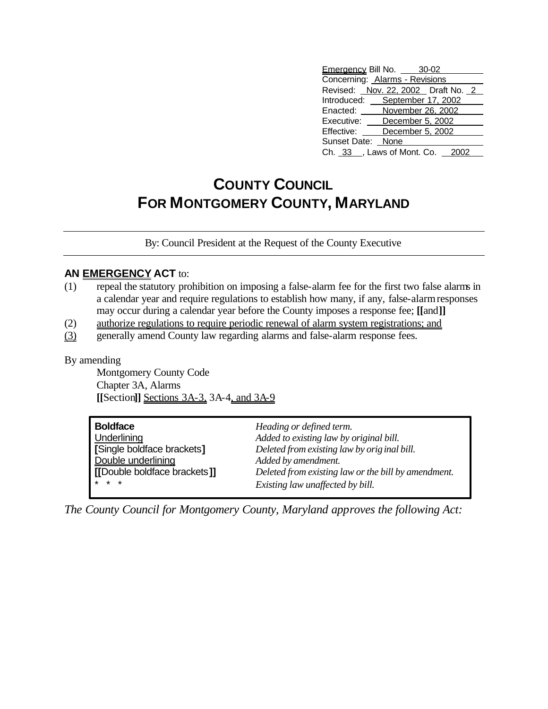| Emergency Bill No. 30-02           |  |  |  |  |
|------------------------------------|--|--|--|--|
| Concerning: Alarms - Revisions     |  |  |  |  |
| Revised: Nov. 22, 2002 Draft No. 2 |  |  |  |  |
| Introduced: September 17, 2002     |  |  |  |  |
| November 26, 2002<br>Enacted:      |  |  |  |  |
| Executive: December 5, 2002        |  |  |  |  |
| Effective: December 5, 2002        |  |  |  |  |
| Sunset Date: None                  |  |  |  |  |
| Ch. 33 _, Laws of Mont. Co. 2002   |  |  |  |  |

## **COUNTY COUNCIL FOR MONTGOMERY COUNTY, MARYLAND**

By: Council President at the Request of the County Executive

## **AN EMERGENCY ACT** to:

- (1) repeal the statutory prohibition on imposing a false-alarm fee for the first two false alarms in a calendar year and require regulations to establish how many, if any, false-alarm responses may occur during a calendar year before the County imposes a response fee; **[[**and**]]**
- (2) authorize regulations to require periodic renewal of alarm system registrations; and
- (3) generally amend County law regarding alarms and false-alarm response fees.

By amending

Montgomery County Code Chapter 3A, Alarms **[[**Section**]]** Sections 3A-3, 3A-4, and 3A-9

| <b>Boldface</b>                | Heading or defined term.                            |
|--------------------------------|-----------------------------------------------------|
| Underlining                    | Added to existing law by original bill.             |
| [Single boldface brackets]     | Deleted from existing law by original bill.         |
| Double underlining             | Added by amendment.                                 |
| I IDouble boldface brackets 11 | Deleted from existing law or the bill by amendment. |
| $*$ * *                        | Existing law unaffected by bill.                    |

*The County Council for Montgomery County, Maryland approves the following Act:*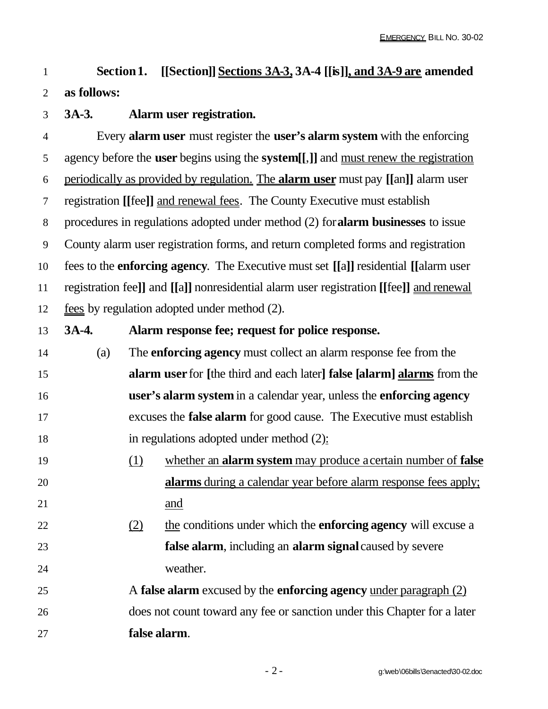## **Section 1. [[Section]] Sections 3A-3, 3A-4 [[is]], and 3A-9 are amended as follows:**

**3A-3. Alarm user registration.**

 Every **alarm user** must register the **user's alarm system** with the enforcing agency before the **user** begins using the **system[[**,**]]** and must renew the registration periodically as provided by regulation. The **alarm user** must pay **[[**an**]]** alarm user registration **[[**fee**]]** and renewal fees. The County Executive must establish procedures in regulations adopted under method (2) for**alarm businesses** to issue County alarm user registration forms, and return completed forms and registration fees to the **enforcing agency**. The Executive must set **[[**a**]]** residential **[[**alarm user registration fee**]]** and **[[**a**]]** nonresidential alarm user registration **[[**fee**]]** and renewal 12 fees by regulation adopted under method (2).

 **3A-4. Alarm response fee; request for police response.** (a) The **enforcing agency** must collect an alarm response fee from the **alarm user** for **[**the third and each later**] false [alarm] alarms** from the **user's alarm system** in a calendar year, unless the **enforcing agency** excuses the **false alarm** for good cause. The Executive must establish in regulations adopted under method (2): (1) whether an **alarm system** may produce a certain number of **false alarms** during a calendar year before alarm response fees apply; 21 and (2) the conditions under which the **enforcing agency** will excuse a **false alarm**, including an **alarm signal** caused by severe weather. A **false alarm** excused by the **enforcing agency** under paragraph (2) does not count toward any fee or sanction under this Chapter for a later **false alarm**.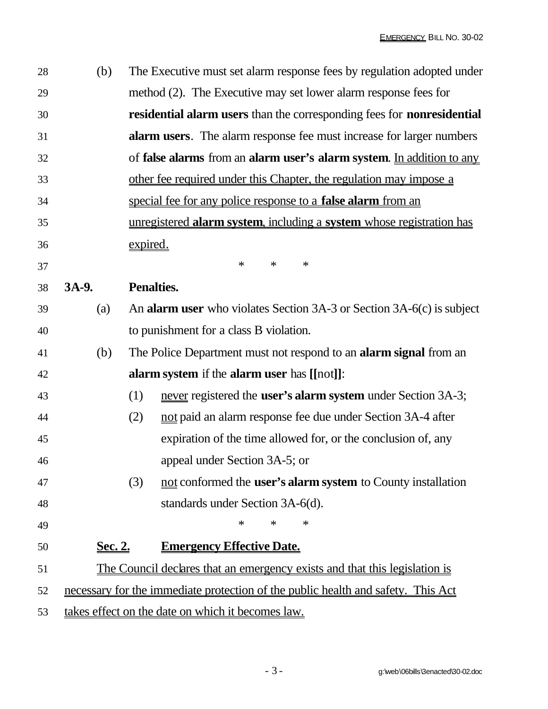| 28 | (b)                                                                              | The Executive must set alarm response fees by regulation adopted under       |  |  |
|----|----------------------------------------------------------------------------------|------------------------------------------------------------------------------|--|--|
| 29 |                                                                                  | method (2). The Executive may set lower alarm response fees for              |  |  |
| 30 |                                                                                  | residential alarm users than the corresponding fees for nonresidential       |  |  |
| 31 |                                                                                  | <b>alarm users.</b> The alarm response fee must increase for larger numbers  |  |  |
| 32 |                                                                                  | of false alarms from an alarm user's alarm system. In addition to any        |  |  |
| 33 |                                                                                  | other fee required under this Chapter, the regulation may impose a           |  |  |
| 34 |                                                                                  | special fee for any police response to a <b>false alarm</b> from an          |  |  |
| 35 |                                                                                  | unregistered alarm system, including a system whose registration has         |  |  |
| 36 |                                                                                  | expired.                                                                     |  |  |
| 37 |                                                                                  | $\ast$<br>$\ast$<br>$\ast$                                                   |  |  |
| 38 | 3A-9.                                                                            | <b>Penalties.</b>                                                            |  |  |
| 39 | (a)                                                                              | An <b>alarm user</b> who violates Section 3A-3 or Section 3A-6(c) is subject |  |  |
| 40 |                                                                                  | to punishment for a class B violation.                                       |  |  |
| 41 | (b)                                                                              | The Police Department must not respond to an <b>alarm signal</b> from an     |  |  |
| 42 |                                                                                  | alarm system if the alarm user has [[not]]:                                  |  |  |
| 43 |                                                                                  | never registered the <b>user's alarm system</b> under Section 3A-3;<br>(1)   |  |  |
| 44 |                                                                                  | not paid an alarm response fee due under Section 3A-4 after<br>(2)           |  |  |
| 45 |                                                                                  | expiration of the time allowed for, or the conclusion of, any                |  |  |
| 46 |                                                                                  | appeal under Section 3A-5; or                                                |  |  |
| 47 |                                                                                  | not conformed the <b>user's alarm system</b> to County installation<br>(3)   |  |  |
| 48 |                                                                                  | standards under Section 3A-6(d).                                             |  |  |
| 49 |                                                                                  | ∗<br>∗<br>∗                                                                  |  |  |
| 50 | <u>Sec. 2.</u>                                                                   | <b>Emergency Effective Date.</b>                                             |  |  |
| 51 | The Council declares that an emergency exists and that this legislation is       |                                                                              |  |  |
| 52 | necessary for the immediate protection of the public health and safety. This Act |                                                                              |  |  |
| 53 | takes effect on the date on which it becomes law.                                |                                                                              |  |  |